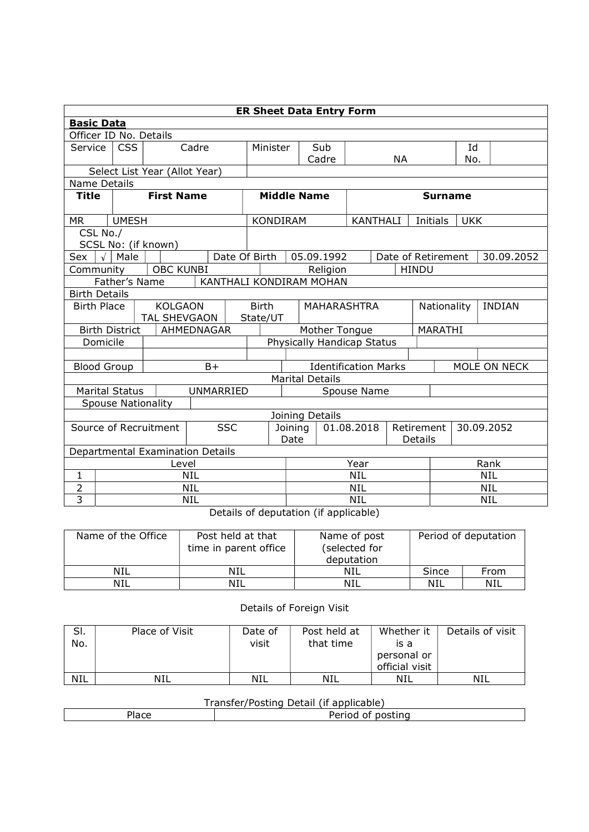| <b>ER Sheet Data Entry Form</b>     |                                  |                               |            |                               |                         |                   |                       |                             |                    |              |                       |              |
|-------------------------------------|----------------------------------|-------------------------------|------------|-------------------------------|-------------------------|-------------------|-----------------------|-----------------------------|--------------------|--------------|-----------------------|--------------|
| <b>Basic Data</b>                   |                                  |                               |            |                               |                         |                   |                       |                             |                    |              |                       |              |
| Officer ID No. Details              |                                  |                               |            |                               |                         |                   |                       |                             |                    |              |                       |              |
| Service                             | <b>CSS</b>                       | Cadre                         |            |                               | Minister                |                   | Sub                   |                             |                    |              | Id                    |              |
|                                     |                                  |                               |            |                               |                         |                   | Cadre                 |                             | <b>NA</b>          |              | No.                   |              |
|                                     |                                  | Select List Year (Allot Year) |            |                               |                         |                   |                       |                             |                    |              |                       |              |
| Name Details                        |                                  |                               |            |                               |                         |                   |                       |                             |                    |              |                       |              |
| <b>Title</b>                        | <b>First Name</b>                |                               |            |                               | <b>Middle Name</b>      |                   |                       |                             | <b>Surname</b>     |              |                       |              |
| МR                                  | <b>UMESH</b>                     |                               |            |                               | KONDIRAM                |                   |                       |                             | <b>KANTHALI</b>    | Initials     | <b>UKK</b>            |              |
| CSL No./                            |                                  |                               |            |                               |                         |                   |                       |                             |                    |              |                       |              |
|                                     |                                  | SCSL No: (if known)           |            |                               |                         |                   |                       |                             |                    |              |                       |              |
| Sex                                 | Male                             |                               |            | Date Of Birth                 |                         |                   | 05.09.1992            |                             | Date of Retirement |              |                       | 30.09.2052   |
| Community                           |                                  | <b>OBC KUNBI</b>              |            |                               |                         |                   | Religion              |                             |                    | <b>HINDU</b> |                       |              |
|                                     | Father's Name                    |                               |            |                               | KANTHALI KONDIRAM MOHAN |                   |                       |                             |                    |              |                       |              |
| <b>Birth Details</b>                |                                  |                               |            |                               |                         |                   |                       |                             |                    |              |                       |              |
| <b>Birth Place</b>                  |                                  | <b>KOLGAON</b>                |            |                               | <b>Birth</b>            |                   |                       |                             | MAHARASHTRA        |              | Nationality<br>INDIAN |              |
|                                     |                                  | <b>TAL SHEVGAON</b>           |            |                               | State/UT                |                   |                       |                             |                    |              |                       |              |
|                                     | <b>Birth District</b>            |                               | AHMEDNAGAR |                               |                         |                   |                       | Mother Tongue               |                    | MARATHI      |                       |              |
| Domicile                            |                                  |                               |            |                               |                         |                   |                       | Physically Handicap Status  |                    |              |                       |              |
|                                     |                                  |                               |            |                               |                         |                   |                       |                             |                    |              |                       |              |
| <b>Blood Group</b>                  |                                  |                               | $B+$       |                               |                         |                   |                       | <b>Identification Marks</b> |                    |              |                       | MOLE ON NECK |
|                                     |                                  |                               |            |                               | <b>Marital Details</b>  |                   |                       |                             |                    |              |                       |              |
| <b>Marital Status</b>               |                                  |                               | UNMARRIED  |                               | Spouse Name             |                   |                       |                             |                    |              |                       |              |
|                                     |                                  | <b>Spouse Nationality</b>     |            |                               |                         |                   |                       |                             |                    |              |                       |              |
|                                     | Joining Details                  |                               |            |                               |                         |                   |                       |                             |                    |              |                       |              |
| <b>SSC</b><br>Source of Recruitment |                                  |                               |            | 01.08.2018<br>Joining<br>Date |                         |                   | Retirement<br>Details | 30.09.2052                  |                    |              |                       |              |
|                                     | Departmental Examination Details |                               |            |                               |                         |                   |                       |                             |                    |              |                       |              |
| Level                               |                                  |                               |            |                               |                         | Year              |                       |                             |                    |              | Rank                  |              |
| 1                                   | <b>NIL</b>                       |                               |            |                               |                         | <b>NIL</b>        |                       |                             |                    |              | <b>NIL</b>            |              |
| 2                                   | NIL                              |                               |            |                               |                         | NIL               |                       |                             |                    | <b>NIL</b>   |                       |              |
| 3                                   | NIL                              |                               |            |                               |                         | NIL<br><b>NIL</b> |                       |                             |                    |              |                       |              |

Details of deputation (if applicable)

| Name of the Office | Post held at that<br>time in parent office | Name of post<br>(selected for<br>deputation | Period of deputation |      |  |
|--------------------|--------------------------------------------|---------------------------------------------|----------------------|------|--|
| NIL                | NIL                                        | NIL                                         | Since                | From |  |
| NIL                | NIL                                        | NIL                                         | NIL                  | NIL  |  |

## Details of Foreign Visit

| SI.<br>No. | Place of Visit | Date of<br>visit | Post held at<br>that time | Whether it<br>is a<br>personal or<br>official visit | Details of visit |
|------------|----------------|------------------|---------------------------|-----------------------------------------------------|------------------|
| <b>NIL</b> | NIL            | <b>NIL</b>       | NIL                       | NIL                                                 | NIL              |

## Transfer/Posting Detail (if applicable)

|  | .<br>.<br>n s<br>,,, |  |  |  |  |  |  |  |
|--|----------------------|--|--|--|--|--|--|--|
|  |                      |  |  |  |  |  |  |  |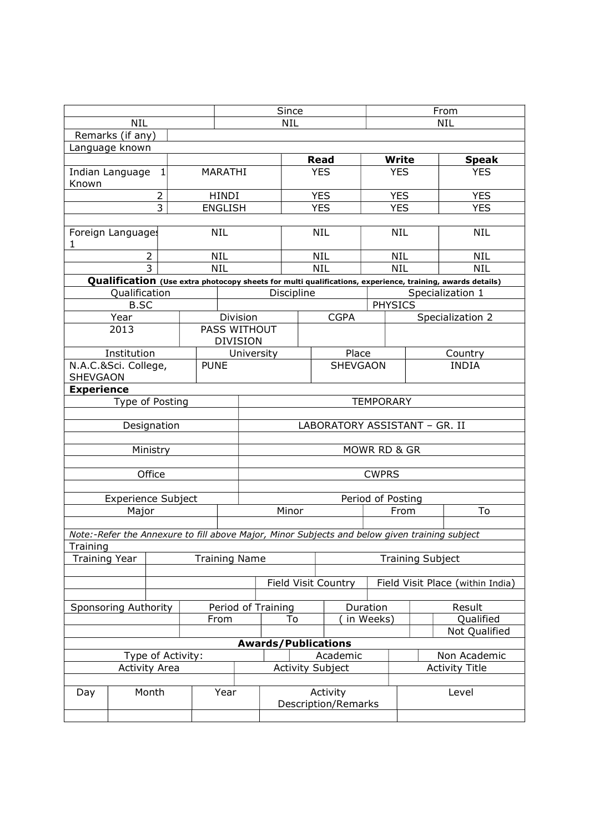|                                         |                                            |                | Since              |            |                                     |                            |                 |                               | From                    |                                  |                                                                                                           |  |
|-----------------------------------------|--------------------------------------------|----------------|--------------------|------------|-------------------------------------|----------------------------|-----------------|-------------------------------|-------------------------|----------------------------------|-----------------------------------------------------------------------------------------------------------|--|
| <b>NIL</b>                              |                                            |                |                    | <b>NIL</b> |                                     |                            |                 |                               | <b>NIL</b>              |                                  |                                                                                                           |  |
|                                         | Remarks (if any)                           |                |                    |            |                                     |                            |                 |                               |                         |                                  |                                                                                                           |  |
| Language known                          |                                            |                |                    |            |                                     |                            |                 |                               |                         |                                  |                                                                                                           |  |
|                                         |                                            |                |                    |            |                                     |                            | <b>Read</b>     |                               | <b>Write</b>            | <b>Speak</b>                     |                                                                                                           |  |
| Known                                   | Indian Language<br>MARATHI<br>$\mathbf{1}$ |                |                    |            |                                     |                            |                 | <b>YES</b>                    |                         | <b>YES</b>                       | <b>YES</b>                                                                                                |  |
|                                         |                                            | $\overline{2}$ |                    | HINDI      |                                     |                            |                 | <b>YES</b>                    |                         | <b>YES</b>                       | <b>YES</b>                                                                                                |  |
| 3                                       |                                            |                | <b>ENGLISH</b>     |            |                                     |                            | <b>YES</b>      |                               | <b>YES</b>              | <b>YES</b>                       |                                                                                                           |  |
|                                         |                                            |                |                    |            |                                     |                            |                 |                               |                         |                                  |                                                                                                           |  |
| Foreign Languages<br>1                  |                                            |                |                    | NIL        |                                     |                            |                 | <b>NIL</b>                    |                         | <b>NIL</b>                       | <b>NIL</b>                                                                                                |  |
|                                         |                                            | $\overline{2}$ |                    | <b>NIL</b> |                                     |                            |                 | <b>NIL</b>                    |                         | <b>NIL</b>                       | <b>NIL</b>                                                                                                |  |
|                                         |                                            | $\overline{3}$ |                    | <b>NIL</b> |                                     |                            | <b>NIL</b>      |                               |                         | <b>NIL</b>                       | <b>NIL</b>                                                                                                |  |
|                                         |                                            |                |                    |            |                                     |                            |                 |                               |                         |                                  | Qualification (Use extra photocopy sheets for multi qualifications, experience, training, awards details) |  |
|                                         | Qualification                              |                |                    |            |                                     | Discipline                 |                 |                               |                         |                                  | Specialization 1                                                                                          |  |
|                                         | <b>B.SC</b>                                |                |                    |            |                                     |                            |                 |                               | <b>PHYSICS</b>          |                                  |                                                                                                           |  |
|                                         | Year                                       |                |                    |            | Division                            |                            |                 | <b>CGPA</b>                   |                         |                                  | Specialization 2                                                                                          |  |
| <b>PASS WITHOUT</b><br>2013             |                                            |                | <b>DIVISION</b>    |            |                                     |                            |                 |                               |                         |                                  |                                                                                                           |  |
| Institution                             |                                            |                |                    | University |                                     |                            |                 | Place                         |                         | Country                          |                                                                                                           |  |
| N.A.C.&Sci. College,<br><b>SHEVGAON</b> |                                            |                | <b>PUNE</b>        |            |                                     |                            | <b>SHEVGAON</b> |                               |                         | <b>INDIA</b>                     |                                                                                                           |  |
| <b>Experience</b>                       |                                            |                |                    |            |                                     |                            |                 |                               |                         |                                  |                                                                                                           |  |
| Type of Posting                         |                                            |                |                    |            |                                     | <b>TEMPORARY</b>           |                 |                               |                         |                                  |                                                                                                           |  |
|                                         |                                            |                |                    |            |                                     |                            |                 |                               |                         |                                  |                                                                                                           |  |
|                                         |                                            | Designation    |                    |            |                                     |                            |                 | LABORATORY ASSISTANT - GR. II |                         |                                  |                                                                                                           |  |
|                                         |                                            | Ministry       |                    |            |                                     |                            |                 |                               | MOWR RD & GR            |                                  |                                                                                                           |  |
|                                         |                                            |                |                    |            |                                     |                            |                 |                               |                         |                                  |                                                                                                           |  |
|                                         |                                            | Office         |                    |            |                                     |                            |                 |                               | <b>CWPRS</b>            |                                  |                                                                                                           |  |
|                                         |                                            |                |                    |            |                                     |                            |                 |                               |                         |                                  |                                                                                                           |  |
|                                         | <b>Experience Subject</b>                  |                |                    |            |                                     |                            |                 |                               | Period of Posting       |                                  |                                                                                                           |  |
|                                         | Major                                      |                |                    |            | Minor                               |                            |                 |                               |                         | From                             | To                                                                                                        |  |
|                                         |                                            |                |                    |            |                                     |                            |                 |                               |                         |                                  |                                                                                                           |  |
|                                         |                                            |                |                    |            |                                     |                            |                 |                               |                         |                                  | Note:-Refer the Annexure to fill above Major, Minor Subjects and below given training subject             |  |
| Training<br><b>Training Year</b>        |                                            |                |                    |            |                                     |                            |                 |                               |                         |                                  |                                                                                                           |  |
|                                         |                                            |                |                    |            | <b>Training Name</b>                |                            |                 |                               | <b>Training Subject</b> |                                  |                                                                                                           |  |
|                                         |                                            |                |                    |            |                                     | Field Visit Country        |                 |                               |                         | Field Visit Place (within India) |                                                                                                           |  |
|                                         |                                            |                |                    |            |                                     |                            |                 |                               |                         |                                  |                                                                                                           |  |
| Sponsoring Authority                    |                                            |                | Period of Training |            |                                     |                            | Duration        |                               | Result                  |                                  |                                                                                                           |  |
|                                         |                                            |                | To<br>From         |            |                                     |                            | in Weeks)       |                               | Qualified               |                                  |                                                                                                           |  |
|                                         |                                            |                |                    |            |                                     |                            |                 |                               |                         |                                  | Not Qualified                                                                                             |  |
| Type of Activity:                       |                                            |                |                    |            |                                     | <b>Awards/Publications</b> |                 |                               |                         | Non Academic                     |                                                                                                           |  |
| <b>Activity Area</b>                    |                                            |                |                    |            | Academic<br><b>Activity Subject</b> |                            |                 |                               | <b>Activity Title</b>   |                                  |                                                                                                           |  |
|                                         |                                            |                |                    |            |                                     |                            |                 |                               |                         |                                  |                                                                                                           |  |
| Month<br>Day                            |                                            |                | Year               |            | Activity<br>Description/Remarks     |                            |                 |                               | Level                   |                                  |                                                                                                           |  |
|                                         |                                            |                |                    |            |                                     |                            |                 |                               |                         |                                  |                                                                                                           |  |